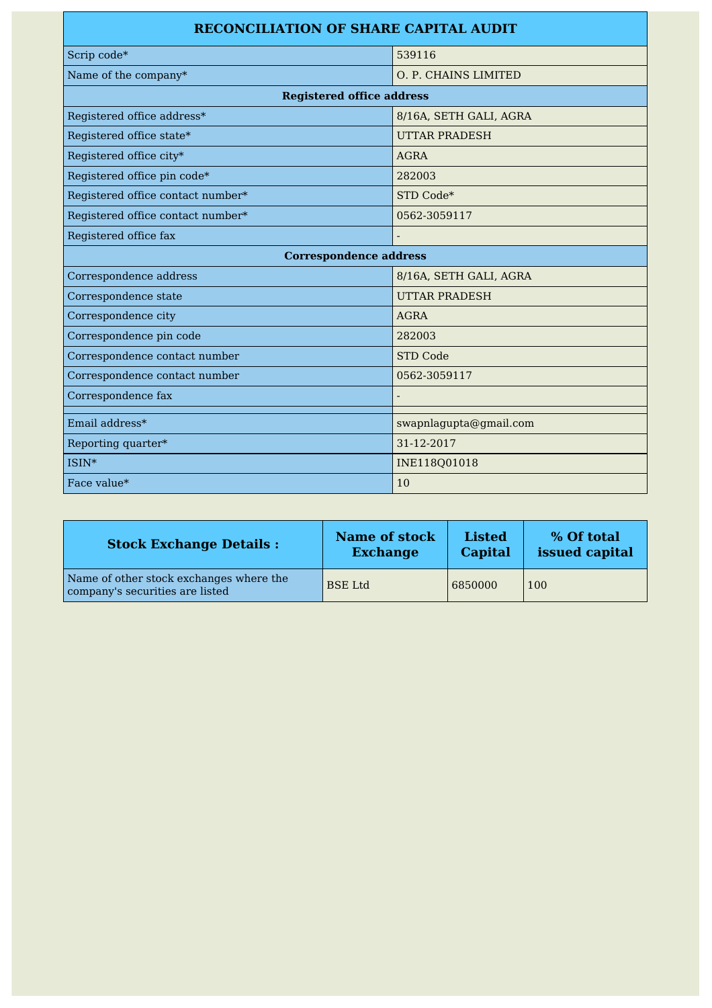| <b>RECONCILIATION OF SHARE CAPITAL AUDIT</b> |                        |  |  |  |
|----------------------------------------------|------------------------|--|--|--|
| Scrip code*                                  | 539116                 |  |  |  |
| Name of the company*                         | O. P. CHAINS LIMITED   |  |  |  |
| <b>Registered office address</b>             |                        |  |  |  |
| Registered office address*                   | 8/16A, SETH GALI, AGRA |  |  |  |
| Registered office state*                     | <b>UTTAR PRADESH</b>   |  |  |  |
| Registered office city*                      | <b>AGRA</b>            |  |  |  |
| Registered office pin code*                  | 282003                 |  |  |  |
| Registered office contact number*            | STD Code*              |  |  |  |
| Registered office contact number*            | 0562-3059117           |  |  |  |
| Registered office fax                        |                        |  |  |  |
| <b>Correspondence address</b>                |                        |  |  |  |
| Correspondence address                       | 8/16A, SETH GALI, AGRA |  |  |  |
| Correspondence state                         | <b>UTTAR PRADESH</b>   |  |  |  |
| Correspondence city                          | <b>AGRA</b>            |  |  |  |
| Correspondence pin code                      | 282003                 |  |  |  |
| Correspondence contact number                | <b>STD Code</b>        |  |  |  |
| Correspondence contact number                | 0562-3059117           |  |  |  |
| Correspondence fax                           |                        |  |  |  |
| Email address*                               | swapnlagupta@gmail.com |  |  |  |
| Reporting quarter*                           | 31-12-2017             |  |  |  |
| ISIN*                                        | INE118Q01018           |  |  |  |
| Face value*                                  | 10                     |  |  |  |

| <b>Stock Exchange Details:</b>                                             | Name of stock   | <b>Listed</b> | % Of total     |
|----------------------------------------------------------------------------|-----------------|---------------|----------------|
|                                                                            | <b>Exchange</b> | Capital       | issued capital |
| Name of other stock exchanges where the<br>company's securities are listed | <b>BSE</b> Ltd  | 6850000       | 100            |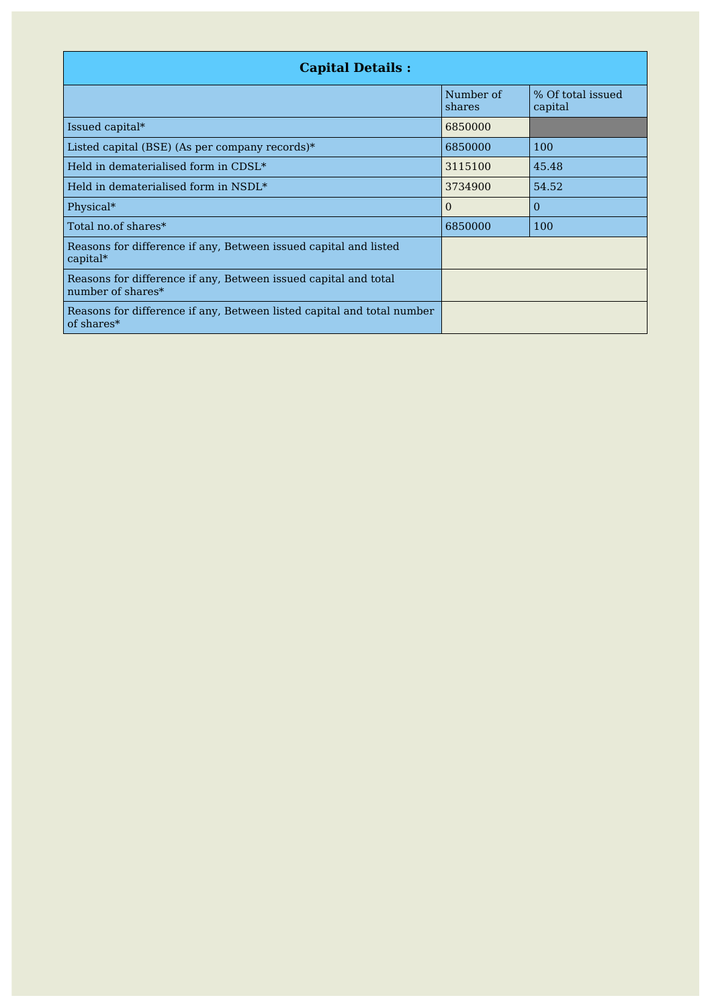| <b>Capital Details:</b>                                                              |                     |                              |  |
|--------------------------------------------------------------------------------------|---------------------|------------------------------|--|
|                                                                                      | Number of<br>shares | % Of total issued<br>capital |  |
| Issued capital*                                                                      | 6850000             |                              |  |
| Listed capital (BSE) (As per company records)*                                       | 6850000             | 100                          |  |
| Held in dematerialised form in CDSL*                                                 | 3115100             | 45.48                        |  |
| $\mid$ Held in dematerialised form in NSDL $^*$                                      | 3734900             | 54.52                        |  |
| Physical*                                                                            | $\Omega$            | $\Omega$                     |  |
| Total no.of shares*                                                                  | 6850000             | 100                          |  |
| Reasons for difference if any, Between issued capital and listed<br>$capital*$       |                     |                              |  |
| Reasons for difference if any, Between issued capital and total<br>number of shares* |                     |                              |  |
| Reasons for difference if any, Between listed capital and total number<br>of shares* |                     |                              |  |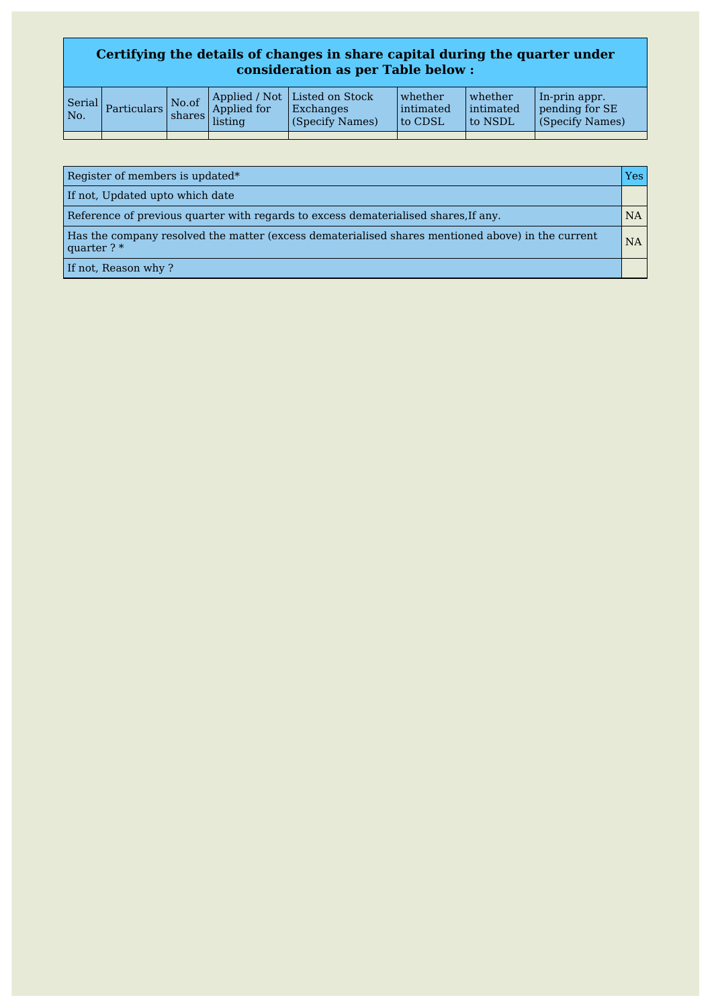## **Certifying the details of changes in share capital during the quarter under consideration as per Table below :**

| No. | corial Particulars | $\mathsf{No}.\mathsf{of}$ | Applied for<br>$\frac{1}{\text{shares}}$ shares isting | Applied / Not   Listed on Stock  <br>Exchanges<br>(Specify Names) | whether<br>lintimated<br>to CDSL | whether<br>intimated<br>to NSDL | In-prin appr.<br>pending for SE<br>(Specify Names) |
|-----|--------------------|---------------------------|--------------------------------------------------------|-------------------------------------------------------------------|----------------------------------|---------------------------------|----------------------------------------------------|
|     |                    |                           |                                                        |                                                                   |                                  |                                 |                                                    |

| Register of members is updated*                                                                                    | Yes |
|--------------------------------------------------------------------------------------------------------------------|-----|
| If not, Updated upto which date                                                                                    |     |
| Reference of previous quarter with regards to excess dematerialised shares, If any.                                | NA  |
| Has the company resolved the matter (excess dematerialised shares mentioned above) in the current<br>quarter $?$ * | NA  |
| If not, Reason why?                                                                                                |     |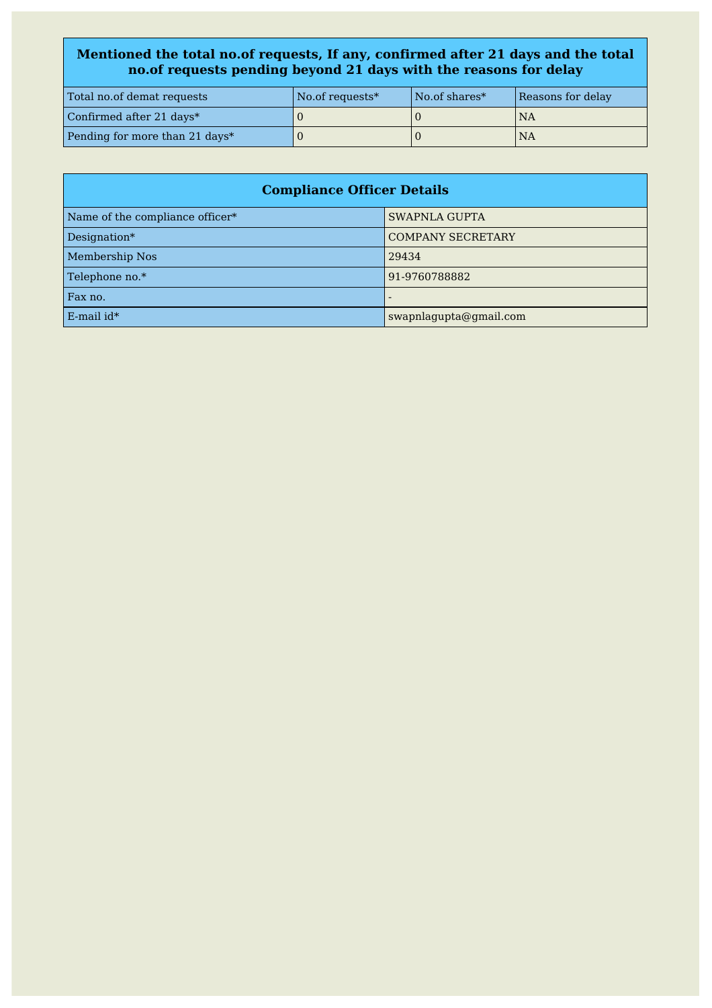## **Mentioned the total no.of requests, If any, confirmed after 21 days and the total no.of requests pending beyond 21 days with the reasons for delay**

| Total no.of demat requests     | No.of requests* | No.of shares* | Reasons for delay |
|--------------------------------|-----------------|---------------|-------------------|
| Confirmed after 21 days*       |                 |               | NA                |
| Pending for more than 21 days* |                 |               | <b>NA</b>         |

| <b>Compliance Officer Details</b> |                          |  |
|-----------------------------------|--------------------------|--|
| Name of the compliance officer*   | <b>SWAPNLA GUPTA</b>     |  |
| Designation*                      | <b>COMPANY SECRETARY</b> |  |
| <b>Membership Nos</b>             | 29434                    |  |
| Telephone no.*                    | 91-9760788882            |  |
| Fax no.                           |                          |  |
| $E$ -mail id*                     | swapnlagupta@gmail.com   |  |